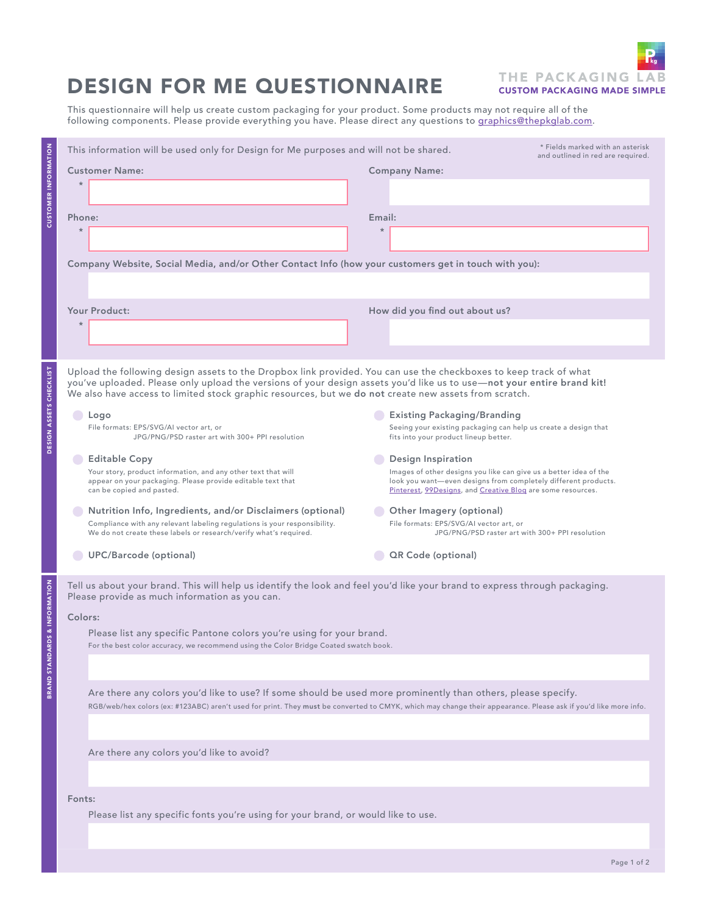

## DESIGN FOR ME QUESTIONNAIRE

This questionnaire will help us create custom packaging for your product. Some products may not require all of the following components. Please provide everything you have. Please direct any questions to <u>graphics@thepkglab.com</u>.

|                                                                                   | This information will be used only for Design for Me purposes and will not be shared.<br><b>Customer Name:</b>                                                                                                                                                                                                                                       | * Fields marked with an asterisk<br>and outlined in red are required.<br><b>Company Name:</b>                                                                                                      |
|-----------------------------------------------------------------------------------|------------------------------------------------------------------------------------------------------------------------------------------------------------------------------------------------------------------------------------------------------------------------------------------------------------------------------------------------------|----------------------------------------------------------------------------------------------------------------------------------------------------------------------------------------------------|
| <b>CUSTOMER INFORMATION</b>                                                       | $\star$                                                                                                                                                                                                                                                                                                                                              |                                                                                                                                                                                                    |
|                                                                                   | Phone:<br>$\star$                                                                                                                                                                                                                                                                                                                                    | Email:                                                                                                                                                                                             |
|                                                                                   |                                                                                                                                                                                                                                                                                                                                                      |                                                                                                                                                                                                    |
|                                                                                   | Company Website, Social Media, and/or Other Contact Info (how your customers get in touch with you):                                                                                                                                                                                                                                                 |                                                                                                                                                                                                    |
|                                                                                   |                                                                                                                                                                                                                                                                                                                                                      |                                                                                                                                                                                                    |
|                                                                                   | Your Product:                                                                                                                                                                                                                                                                                                                                        | How did you find out about us?                                                                                                                                                                     |
|                                                                                   | $\star$                                                                                                                                                                                                                                                                                                                                              |                                                                                                                                                                                                    |
|                                                                                   |                                                                                                                                                                                                                                                                                                                                                      |                                                                                                                                                                                                    |
| DESIGN ASSETS CHECKLIST                                                           | Upload the following design assets to the Dropbox link provided. You can use the checkboxes to keep track of what<br>you've uploaded. Please only upload the versions of your design assets you'd like us to use-not your entire brand kit!<br>We also have access to limited stock graphic resources, but we do not create new assets from scratch. |                                                                                                                                                                                                    |
|                                                                                   | Logo                                                                                                                                                                                                                                                                                                                                                 | <b>Existing Packaging/Branding</b>                                                                                                                                                                 |
|                                                                                   | File formats: EPS/SVG/AI vector art, or<br>JPG/PNG/PSD raster art with 300+ PPI resolution                                                                                                                                                                                                                                                           | Seeing your existing packaging can help us create a design that<br>fits into your product lineup better.                                                                                           |
|                                                                                   | <b>Editable Copy</b>                                                                                                                                                                                                                                                                                                                                 | Design Inspiration                                                                                                                                                                                 |
|                                                                                   | Your story, product information, and any other text that will<br>appear on your packaging. Please provide editable text that<br>can be copied and pasted.                                                                                                                                                                                            | Images of other designs you like can give us a better idea of the<br>look you want-even designs from completely different products.<br>Pinterest, 99Designs, and Creative Bloq are some resources. |
|                                                                                   | Nutrition Info, Ingredients, and/or Disclaimers (optional)                                                                                                                                                                                                                                                                                           | Other Imagery (optional)                                                                                                                                                                           |
|                                                                                   | Compliance with any relevant labeling regulations is your responsibility.<br>We do not create these labels or research/verify what's required.                                                                                                                                                                                                       | File formats: EPS/SVG/AI vector art, or<br>JPG/PNG/PSD raster art with 300+ PPI resolution                                                                                                         |
|                                                                                   | UPC/Barcode (optional)                                                                                                                                                                                                                                                                                                                               | QR Code (optional)                                                                                                                                                                                 |
| ARDS & INFORMATION                                                                | Tell us about your brand. This will help us identify the look and feel you'd like your brand to express through packaging.<br>Please provide as much information as you can.                                                                                                                                                                         |                                                                                                                                                                                                    |
|                                                                                   | Colors:                                                                                                                                                                                                                                                                                                                                              |                                                                                                                                                                                                    |
|                                                                                   | Please list any specific Pantone colors you're using for your brand.<br>For the best color accuracy, we recommend using the Color Bridge Coated swatch book.                                                                                                                                                                                         |                                                                                                                                                                                                    |
| <b>BRAND STAND</b>                                                                |                                                                                                                                                                                                                                                                                                                                                      |                                                                                                                                                                                                    |
|                                                                                   | Are there any colors you'd like to use? If some should be used more prominently than others, please specify.                                                                                                                                                                                                                                         |                                                                                                                                                                                                    |
|                                                                                   | RGB/web/hex colors (ex: #123ABC) aren't used for print. They must be converted to CMYK, which may change their appearance. Please ask if you'd like more info.                                                                                                                                                                                       |                                                                                                                                                                                                    |
|                                                                                   |                                                                                                                                                                                                                                                                                                                                                      |                                                                                                                                                                                                    |
|                                                                                   | Are there any colors you'd like to avoid?                                                                                                                                                                                                                                                                                                            |                                                                                                                                                                                                    |
|                                                                                   |                                                                                                                                                                                                                                                                                                                                                      |                                                                                                                                                                                                    |
| Fonts:                                                                            |                                                                                                                                                                                                                                                                                                                                                      |                                                                                                                                                                                                    |
| Please list any specific fonts you're using for your brand, or would like to use. |                                                                                                                                                                                                                                                                                                                                                      |                                                                                                                                                                                                    |
|                                                                                   |                                                                                                                                                                                                                                                                                                                                                      |                                                                                                                                                                                                    |